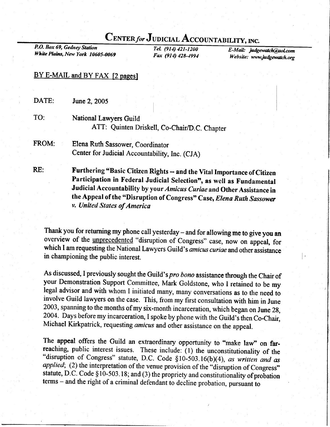## CENTER for JUDICIAL ACCOUNTABILITY, INC.

P.O. Box 69, Gedney Station Whitc Plains, New York 10605-0069

TeL (914) 421-1200 Fax (914) 428-4994

E-Mail: judgewatch@aol.com Website: www.judgewatch.org

## BY E-MAIL and BY FAX [2 pages]

RE: DATE: TO: June 2, 2005 FROM: National Lawyers Guild ATT: Quinten Driskell, Co-Chair/D.C. Chapter Elena Ruth Sassower, Coordinator Center for Judicial Accountability, Inc. (CJA)

Furthering "Basic Citizen Rights -- and the Vital Importance of Citizen Participation in Federal Judicial Selection", as well as Fundamental Judicial Accountability by your Amicus Curiae and Other Assistance in the Appeal of the "Disruption of Congress" Case, Elena Ruth Sassower v. United Stutes of America

Thank you for returning my phone call yesterday - and for allowing me to give you an overview of the *unprecedented* "disruption of Congress" case, now on appeal, for which I am requesting the National Lawyers Guild's amicus curiae and other assistance in championing the public interest.

As discussed, I previously sought the Guild's pro bono assistance through the Chair of your Demonsfration Support Committee, Mark Goldstone, who I retained to be my legal advisor and with whom I initiated many, many conversations as to the need to involve Guild lawyers on the case. This, from my first consultation with him in June 2003, spanning to the months of my six-month incarceration, which began on June 2g, 2004. Days before my incarceration, I spoke by phone with the Guild's then Co-Chair, Michael Kirkpatrick, requesting amicus and other assistance on the appeal.

The appeal offers the Guild an extraordinary opportunity to "make law" on far-<br>reaching, public interest issues. These include: (1) the unconstitutionality of the<br>"disruption of Congress" statute, D.C. Code  $\S 10-503.16(b)($ applied; (2) the interpretation of the venue provision of the "disruption of Congress" statute, D.C. Code  $§10-503.18$ ; and (3) the propriety and constitutionality of probation terms - and the right of a criminal defendant to decline probation, pursuant to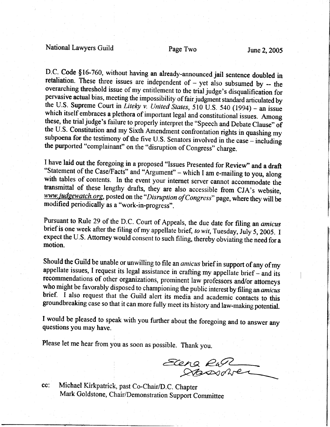## National Lawyers Guild Page Two June 2, 2005

D.C. Code §16-760, without having an already-announced jail sentence doubled in retaliation. These three issues are independent of – yet also subsumed by – the overarching threshold issue of my entitlement to the trial ju the U.S. Constitution and my Sixth Amendment confrontation rights in quashing my subpoena for the testimony of the five U.S. Senators involved in the case – including the purported "complainant" on the "disruption of Congress" charge.

I have laid out the foregoing in a proposed "Issues Presented for Review" and a draft "Statement of the Case/Facts" and "Argument" – which I am e-mailing to you, along<br>with tables of contents. In the event your internet server cannot accommodate the<br>transmittal of these lengthy drafts, they are also access

Pursuant to Rule 29 of the D.C. Court of Appeals, the due date for filing an *amicus* brief is one week after the filing of my appellate brief, to wit, Tuesday, July 5, 2005. I expect the U.S. Attorney would consent to such filing, thereby obviating the need for a motion.

Should the Guild be unable or unwilling to file an *amicus* brief in support of any of my appellate issues, I request its legal assistance in crafting my appellate brief – and its recommendations of other organizations, pr

I would be pleased to speak with you further about the foregoing and to answer any questions you may have.

Please let me hear from you as soon as possible. Thank you.

Elena Ran

Michael Kirkpatrick, past Co-Chair/D.C. Chapter cc: Mark Goldstone, Chair/Demonstration Support Committee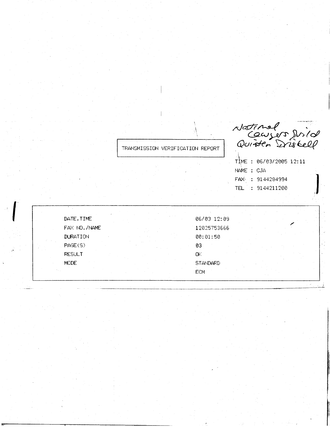TRANSMISSION VERIFICATION REPORT

Natinal<br>Causer Dirid<br>Quiden Drisbell

TIME : 06/03/2005 12:11 NAME : CJA FAX<sup>6</sup>: 9144284994 TEL : 9144211200

| DATE, TIME      |  | 06/03 12:09 |  |  |  |
|-----------------|--|-------------|--|--|--|
| FAX NO. /NAME   |  | 12025753666 |  |  |  |
| <b>DURATION</b> |  | 00:01:50    |  |  |  |
| PAGE(S)         |  | 03          |  |  |  |
| <b>RESULT</b>   |  | ОK          |  |  |  |
| MODE.           |  | STANDARD    |  |  |  |
|                 |  | ECM         |  |  |  |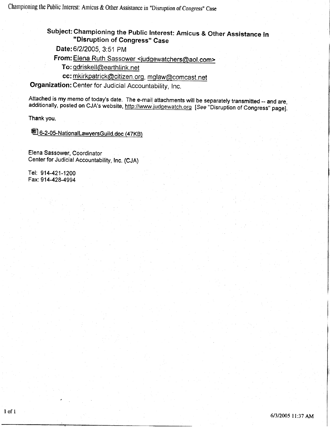## Subject: Championing the Public Interest: Amicus & Other Assistance in<br>"Disruption of Congreee" Case "Disruption of Congress" Case

Date: 6/2/2005, 3:51 PM

From: Elena Ruth Sassower <judgewatchers@aol.com><br>To: gdriskell@earthlink.net

cc: mkirkpatrick@citizen.org, mglaw@comcast. net

Organization: Center for Judicial Accountability, Inc.

Attached is my memo of today's date. The e-mail attachments will be separately transmitted -- and are, additionally, posted on CJA's website, http://www.judgewatch.org [See "Disruption of Congress" page].

Thank you.

圈6-2-05-NationalLawyersGuild.doc (47KB)

Elena Sassower, Coordinator Center for Judicial Accountability, lnc. (CJA)

Tel: 914-421-1200 Fax: 914-428-4994